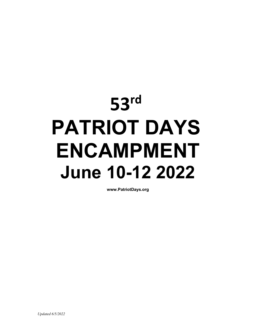# **53rd PATRIOT DAYS ENCAMPMENT June 10-12 2022**

**www.PatriotDays.org**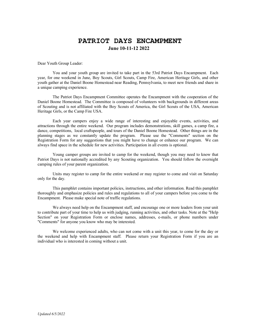# **PATRIOT DAYS ENCAMPMENT June 10-11-12 2022**

Dear Youth Group Leader:

You and your youth group are invited to take part in the 53rd Patriot Days Encampment. Each year, for one weekend in June, Boy Scouts, Girl Scouts, Camp Fire, American Heritage Girls, and other youth gather at the Daniel Boone Homestead near Reading, Pennsylvania, to meet new friends and share in a unique camping experience.

The Patriot Days Encampment Committee operates the Encampment with the cooperation of the Daniel Boone Homestead. The Committee is composed of volunteers with backgrounds in different areas of Scouting and is not affiliated with the Boy Scouts of America, the Girl Scouts of the USA, American Heritage Girls, or the Camp Fire USA.

Each year campers enjoy a wide range of interesting and enjoyable events, activities, and attractions through the entire weekend. Our program includes demonstrations, skill games, a camp fire, a dance, competitions, local craftspeople, and tours of the Daniel Boone Homestead. Other things are in the planning stages as we constantly update the program. Please use the "Comments" section on the Registration Form for any suggestions that you might have to change or enhance our program. We can always find space in the schedule for new activities. Participation in all events is optional.

Young camper groups are invited to camp for the weekend, though you may need to know that Patriot Days is not nationally accredited by any Scouting organization. You should follow the overnight camping rules of your parent organization.

Units may register to camp for the entire weekend or may register to come and visit on Saturday only for the day.

This pamphlet contains important policies, instructions, and other information. Read this pamphlet thoroughly and emphasize policies and rules and regulations to all of your campers before you come to the Encampment. Please make special note of traffic regulations.

We always need help on the Encampment staff, and encourage one or more leaders from your unit to contribute part of your time to help us with judging, running activities, and other tasks. Note at the "Help Section" on your Registration Form or enclose names, addresses, e-mails, or phone numbers under "Comments" for anyone you know who may be interested.

We welcome experienced adults, who can not come with a unit this year, to come for the day or the weekend and help with Encampment staff. Please return your Registration Form if you are an individual who is interested in coming without a unit.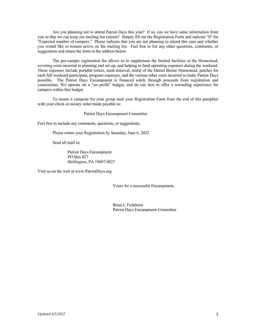Are you planning not to attend Patriot Days this year? If so, can we have some information from you so that we can keep our mailing list current? Simply fill out the Registration Form and indicate "0" for "Expected number of campers." Please indicate that you are not planning to attend this year and whether you would like to remain active on the mailing list. Feel free to list any other questions, comments, or suggestions and return the form to the address below.

The per-camper registration fee allows us to supplement the limited facilities at the Homestead, covering costs incurred in planning and set-up, and helping to fund operating expenses during the weekend. These expenses include portable toilets, trash removal, rental of the Daniel Boone Homestead, patches for each full weekend participant, program expenses, and the various other costs incurred to make Patriot Days possible. The Patriot Days Encampment is financed solely through proceeds from registration and concessions. We operate on a "no profit" budget, and do our best to offer a rewarding experience for campers within that budget.

To assure a campsite for your group mail your Registration Form from the end of this pamphlet with your check or money order made payable to:

Patriot Days Encampment Committee

Feel free to include any comments, questions, or suggestions.

Please return your Registration by Saturday, June 6, 2022

Send all mail to:

Patriot Days Encampment PO Box 827 Shillington, PA 19607-0827

Visit us on the web at www.PatriotDays.org.

Yours for a successful Encampment,

Brian L Fichthorn Patriot Days Encampment Committee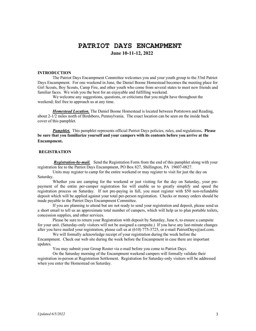# **PATRIOT DAYS ENCAMPMENT June 10-11-12, 2022**

#### **INTRODUCTION**

The Patriot Days Encampment Committee welcomes you and your youth group to the 53rd Patriot Days Encampment. For one weekend in June, the Daniel Boone Homestead becomes the meeting place for Girl Scouts, Boy Scouts, Camp Fire, and other youth who come from several states to meet new friends and familiar faces. We wish you the best for an enjoyable and fulfilling weekend.

We welcome any suggestions, questions, or criticisms that you might have throughout the weekend; feel free to approach us at any time.

*Homestead Location.* The Daniel Boone Homestead is located between Pottstown and Reading, about 2-1/2 miles north of Birdsboro, Pennsylvania. The exact location can be seen on the inside back cover of this pamphlet.

*Pamphlet.* This pamphlet represents official Patriot Days policies, rules, and regulations**. Please be sure that you familiarize yourself and your campers with its contents before you arrive at the Encampment.** 

#### **REGISTRATION**

*Registration-by-mail.* Send the Registration Form from the end of this pamphlet along with your registration fee to the Patriot Days Encampment, PO Box 827, Shillington, PA 19607-0827.

Units may register to camp for the entire weekend or may register to visit for just the day on Saturday.

Whether you are camping for the weekend or just visiting for the day on Saturday, your prepayment of the entire per-camper registration fee will enable us to greatly simplify and speed the registration process on Saturday. If not pre-paying in full, you must register with \$50 non-refundable deposit which will be applied against your total per-person registration. Checks or money orders should be made payable to the Patriot Days Encampment Committee.

If you are planning to attend but are not ready to send your registration and deposit, please send us a short email to tell us an approximate total number of campers, which will help us to plan portable toilets, concession supplies, and other services.

Please be sure to return your Registration with deposit by Saturday, June 6, to ensure a campsite for your unit. (Saturday-only visitors will not be assigned a campsite.) If you have any last-minute changes after you have mailed your registration, please call us at (610) 775-3725, or e-mail PatriotDays@aol.com.

We will formally acknowledge receipt of your registration during the week before the Encampment. Check our web site during the week before the Encampment in case there are important updates.

You may submit your Group Roster via e-mail before you come to Patriot Days.

On the Saturday morning of the Encampment weekend campers will formally validate their registration in-person at Registration Settlement. Registration for Saturday-only visitors will be addressed when you enter the Homestead on Saturday.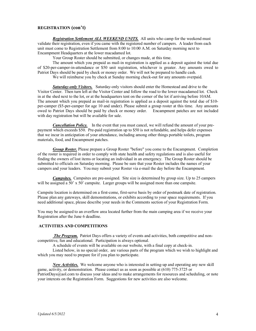#### **REGISTRATION (con't)**

*Registration Settlement ALL WEEKEND UNITS.* All units who camp for the weekend must validate their registration, even if you came with the registered number of campers. A leader from each unit must come to Registration Settlement from 8:00 to 10:00 A.M. on Saturday morning next to Encampment Headquarters at the lower macadamed lot.

Your Group Roster should be submitted, or changes made, at this time.

The amount which you prepaid as mail-in registration is applied as a deposit against the total due of \$20-per-camper-in-attendance or \$50 unit registration, whichever is greater. Any amounts owed to Patriot Days should be paid by check or money order. We will not be prepared to handle cash.

We will reimburse you by check at Sunday morning check-out for any amounts overpaid.

*Saturday-only Visitors.* Saturday-only visitors should enter the Homestead and drive to the Visitor Center. Then turn left at the Visitor Center and follow the road to the lower macadamed lot. Check in at the shed next to the lot, or at the headquarters tent on the corner of the lot if arriving before 10AM. The amount which you prepaid as mail-in registration is applied as a deposit against the total due of \$10 per-camper (\$5-per-camper for age 10 and under). Please submit a group roster at this time. Any amounts owed to Patriot Days should be paid by check or money order. Encampment patches are not included with day registration but will be available for sale.

*Cancellation Policy.* In the event that you must cancel, we will refund the amount of your prepayment which exceeds \$50. Pre-paid registration up to \$50 is not refundable, and helps defer expenses that we incur in anticipation of your attendance, including among other things portable toilets, program materials, food, and Encampment patches.

*Group Roster.* Please prepare a Group Roster "before" you come to the Encampment. Completion of the roster is required in order to comply with state health and safety regulations and is also useful for finding the owners of lost items or locating an individual in an emergency. The Group Roster should be submitted to officials on Saturday morning. Please be sure that your Roster includes the names of your campers and your leaders. You may submit your Roster via e-mail the day before the Encampment.

*Campsites.* Campsites are pre-assigned. Site size is determined by group size. Up to 25 campers will be assigned a 50' x 50' campsite. Larger groups will be assigned more than one campsite.

Campsite location is determined on a first-come, first-serve basis by order of postmark date of registration. Please plan any gateways, skill demonstrations, or exhibits according to your space requirements. If you need additional space, please describe your needs in the Comments section of your Registration Form.

You may be assigned to an overflow area located further from the main camping area if we receive your Registration after the June 6 deadline.

#### **ACTIVITIES AND COMPETITIONS**

*The Program.* Patriot Days offers a variety of events and activities, both competitive and noncompetitive, fun and educational. Participation is always optional.

A schedule of events will be available on our website, with a final copy at check-in.

Listed below, in no special order, are various parts of the program which we wish to highlight and which you may need to prepare for if you plan to participate.

*New Activities.* We welcome anyone who is interested in setting-up and operating any new skill game, activity, or demonstration. Please contact us as soon as possible at (610) 775-3725 or PatriotDays@aol.com to discuss your ideas and to make arrangements for resources and scheduling, or note your interests on the Registration Form. Suggestions for new activities are also welcome.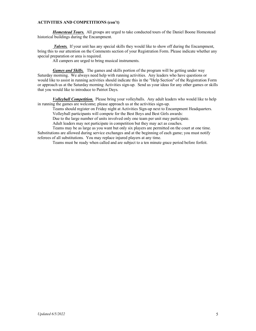#### **ACTIVITIES AND COMPETITIONS (con't)**

*Homestead Tours.* All groups are urged to take conducted tours of the Daniel Boone Homestead historical buildings during the Encampment.

*Talents.* If your unit has any special skills they would like to show off during the Encampment, bring this to our attention on the Comments section of your Registration Form. Please indicate whether any special preparation or area is required.

All campers are urged to bring musical instruments.

*Games and Skills.* The games and skills portion of the program will be getting under way Saturday morning. We always need help with running activities. Any leaders who have questions or would like to assist in running activities should indicate this in the "Help Section" of the Registration Form or approach us at the Saturday morning Activities sign-up. Send us your ideas for any other games or skills that you would like to introduce to Patriot Days.

*Volleyball Competition.* Please bring your volleyballs. Any adult leaders who would like to help in running the games are welcome; please approach us at the activities sign-up.

Teams should register on Friday night at Activities Sign-up next to Encampment Headquarters. Volleyball participants will compete for the Best Boys and Best Girls awards:

Due to the large number of units involved only one team per unit may participate.

Adult leaders may not participate in competition but they may act as coaches.

Teams may be as large as you want but only six players are permitted on the court at one time. Substitutions are allowed during service exchanges and at the beginning of each game; you must notify referees of all substitutions. You may replace injured players at any time.

Teams must be ready when called and are subject to a ten minute grace period before forfeit.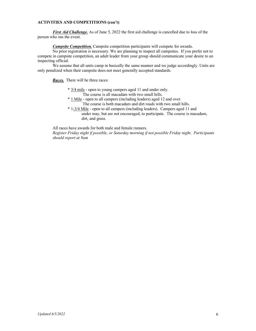#### **ACTIVITIES AND COMPETITIONS (con't)**

*First Aid Challenge.* As of June 5, 2022 the first aid challenge is cancelled due to loss of the person who ran the event.

*Campsite Competition.* Campsite competition participants will compete for awards.

No prior registration is necessary. We are planning to inspect all campsites. If you prefer not to compete in campsite competition, an adult leader from your group should communicate your desire to an inspecting official.

We assume that all units camp in basically the same manner and we judge accordingly. Units are only penalized when their campsite does not meet generally accepted standards.

*Races*. There will be three races:

- \* 3/4 mile open to young campers aged 11 and under only.
	- The course is all macadam with two small hills.
- \* 1 Mile open to all campers (including leaders) aged 12 and over. The course is both macadam and dirt roads with two small hills.
- \* 1-3/4 Mile open to all campers (including leaders). Campers aged 11 and under may, but are not encouraged, to participate. The course is macadam, dirt, and grass.

All races have awards for both male and female runners.

*Register Friday night if possible, or Saturday morning if not possible Friday night*. *Participants should report at 9am*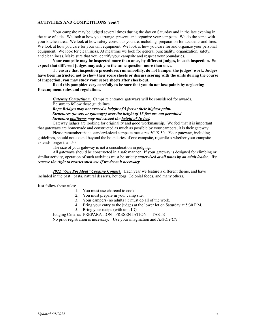#### **ACTIVITIES AND COMPETITIONS (cont')**

Your campsite may be judged several times during the day on Saturday and in the late evening in the case of a tie. We look at how you arrange, present, and organize your campsite. We do the same with your kitchen area. We look at how safety-conscious you are, including preparation for accidents and fires. We look at how you care for your unit equipment. We look at how you care for and organize your personal equipment. We look for cleanliness. At mealtime we look for general punctuality, organization, safety, and cleanliness. Make sure that you identify your campsite and respect your boundaries.

**Your campsite may be inspected more than once, by different judges, in each inspection. So expect that different judges may ask you the same question more than once.** 

**To ensure that inspection procedures run smoothly, do not hamper the judges' work. Judges have been instructed not to show their score sheets or discuss scoring with the units during the course of inspection; you may study your score sheets after check-out.** 

**Read this pamphlet very carefully to be sure that you do not lose points by neglecting Encampment rules and regulations.**

*Gateway Competition.* Campsite entrance gateways will be considered for awards. Be sure to follow these guidelines.

*Rope Bridges may not exceed a height of 5 feet at their highest point. Structures (towers or gateways) over the height of 15 feet are not permitted*. *Structure platforms may not exceed the height of 10 feet.* 

Gateway judges are looking for originality and good workmanship. We feel that it is important that gateways are homemade and constructed as much as possible by your campers; it is their gateway.

 Please remember that a standard-sized campsite measures 50' X 50.' Your gateway, including guidelines, should not extend beyond the boundaries of one campsite, regardless whether your campsite extends longer than 50.'

The size of your gateway is not a consideration in judging.

All gateways should be constructed in a safe manner. If your gateway is designed for climbing or similar activity, operation of such activities must be strictly *supervised at all times by an adult leader*. *We reserve the right to restrict such use if we deem it necessary.*

*2022 "One Pot Meal" Cooking Contest.* Each year we feature a different theme, and have included in the past: pasta, natural desserts, hot dogs, Colonial foods, and many others.

Just follow these rules:

- 1. You must use charcoal to cook.
- 2. You must prepare in your camp site.
- 3. Your campers (no adults !!) must do all of the work.
- 4. Bring your entry to the judges at the lower lot on Saturday at 5:30 P.M.
- 5. Bring your recipe (with unit ID)

Judging Criteria: PREPARATION - PRESENTATION - TASTE No prior registration is necessary. Use your imagination and *HAVE FUN* !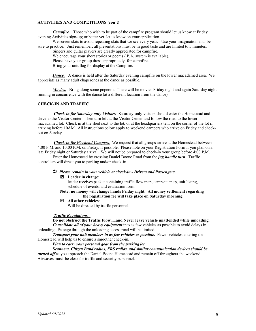#### **ACTIVITIES AND COMPETITIONS (con't)**

*Campfire.* Those who wish to be part of the campfire program should let us know at Friday evening Activities sign-up; or better yet, let us know on your application.

We screen skits to avoid repeating skits that we see every year. Use your imagination and be sure to practice. Just remember: all presentations must be in good taste and are limited to 5 minutes.

Singers and guitar players are greatly appreciated for campfire.

We encourage your short stories or poems ( P.A. system is available).

Please have your group dress appropriately for campfire.

Bring your unit flag for display at the Campfire.

*Dance.* A dance is held after the Saturday evening campfire on the lower macadamed area. We appreciate as many adult chaperones at the dance as possible.

*Movies.* Bring along some popcorn. There will be movies Friday night and again Saturday night running in concurrence with the dance (at a different location from the dance).

#### **CHECK-IN AND TRAFFIC**

*Check-in for Saturday-only Visitors.* Saturday-only visitors should enter the Homestead and drive to the Visitor Center. Then turn left at the Visitor Center and follow the road to the lower macadamed lot. Check in at the shed next to the lot, or at the headquarters tent on the corner of the lot if arriving before 10AM. All instructions below apply to weekend campers who arrive on Friday and checkout on Sunday.

*Check-in for Weekend Campers.* We request that all groups arrive at the Homestead between 4:00 P.M. and 10:00 P.M. on Friday, if possible. Please note on your Registration Form if you plan on a late Friday night or Saturday arrival. We will not be prepared to check-in your group before 4:00 P.M.

Enter the Homestead by crossing Daniel Boone Road from the *jug handle turn*. Traffic controllers will direct you to parking and/or check-in.

#### *Please remain in your vehicle at check-in - Drivers and Passengers .*

#### **Leader in charge**:

 leader receives packet containing traffic flow map, campsite map, unit listing, schedule of events, and evaluation form.

#### **Note: no money will change hands Friday night. All money settlement regarding the registration fee will take place on Saturday morning**.

**All other vehicles**:

Will be directed by traffic personnel.

#### *Traffic Regulations.*

**Do not obstruct the Traffic Flow.....and Never leave vehicle unattended while unloading.** *Consolidate all of your heavy equipment* into as few vehicles as possible to avoid delays in unloading. Passage through the unloading access road will be limited.

*Transport your unit members in as few vehicles as possible.* Fewer vehicles entering the Homestead will help us to ensure a smoother check-in.

*Plan to carry your personal gear from the parking lot*.

 S*canners, Citizen Band radios, FRS radios, and similar communication devices should be turned off* as you approach the Daniel Boone Homestead and remain off throughout the weekend. Airwaves must be clear for traffic and security personnel.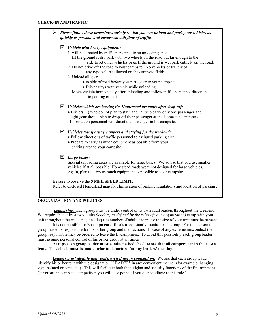#### **CHECK-IN ANDTRAFFIC**

| $\triangleright$ Please follow these procedures strictly so that you can unload and park your vehicles as<br>quickly as possible and ensure smooth flow of traffic. |  |  |  |  |  |  |  |
|---------------------------------------------------------------------------------------------------------------------------------------------------------------------|--|--|--|--|--|--|--|
| $\triangleright$ Vehicle with heavy equipment:                                                                                                                      |  |  |  |  |  |  |  |
| 1. will be directed by traffic personnel to an unloading spot.                                                                                                      |  |  |  |  |  |  |  |
| (If the ground is dry park with two wheels on the road but far enough to the<br>side to let other vehicles pass. If the ground is wet park entirely on the road.)   |  |  |  |  |  |  |  |
| 2. Do not drive off the road to your campsite. No vehicles or trailers of<br>any type will be allowed on the campsite fields.                                       |  |  |  |  |  |  |  |
| 3. Unload all gear                                                                                                                                                  |  |  |  |  |  |  |  |
| · to side of road before you carry gear to your campsite.                                                                                                           |  |  |  |  |  |  |  |
| · Driver stays with vehicle while unloading.                                                                                                                        |  |  |  |  |  |  |  |
| 4. Move vehicle immediately after unloading and follow traffic personnel direction<br>to parking or exit                                                            |  |  |  |  |  |  |  |
| $\triangleright$ Vehicles which are leaving the Homestead promptly after drop-off:                                                                                  |  |  |  |  |  |  |  |
| $\bullet$ Drivers (1) who do not plan to stay, and (2) who carry only one passenger and                                                                             |  |  |  |  |  |  |  |
| light gear should plan to drop-off their passenger at the Homestead entrance.                                                                                       |  |  |  |  |  |  |  |
| Information personnel will direct the passenger to his campsite.                                                                                                    |  |  |  |  |  |  |  |
| $\triangleright$ Vehicles transporting campers and staying for the weekend:                                                                                         |  |  |  |  |  |  |  |
| · Follow directions of traffic personnel to assigned parking area.                                                                                                  |  |  |  |  |  |  |  |
| • Prepare to carry as much equipment as possible from your<br>parking area to your campsite.                                                                        |  |  |  |  |  |  |  |
| $\triangleright$ Large buses:                                                                                                                                       |  |  |  |  |  |  |  |
| Special unloading areas are available for large buses. We advise that you use smaller                                                                               |  |  |  |  |  |  |  |
| vehicles if at all possible; Homestead roads were not designed for large vehicles.                                                                                  |  |  |  |  |  |  |  |
| Again, plan to carry as much equipment as possible to your campsite.                                                                                                |  |  |  |  |  |  |  |
| Be sure to observe the 5 MPH SPEED LIMIT.                                                                                                                           |  |  |  |  |  |  |  |
| Refer to enclosed Homestead map for clarification of parking regulations and location of parking.                                                                   |  |  |  |  |  |  |  |

#### **ORGANIZATION AND POLICIES**

*Leadership.* Each group must be under control of its own adult leaders throughout the weekend. We require that at least two adults *(leaders, as defined by the rules of your organization)* camp with your unit throughout the weekend; an adequate number of adult leaders for the size of your unit must be present.

 It is not possible for Encampment officials to constantly monitor each group. For this reason the group leader is responsible for his or her group and their actions. In case of any extreme misconduct the group responsible may be ordered to leave the Encampment. To avoid this possibility each group leader must assume personal control of his or her group at all times.

**At taps each group leader must conduct a bed check to see that all campers are in their own tents. This check must be made prior to departure for any leaders' meeting.**

*Leaders must identify their tents, even if not in competition.* We ask that each group leader identify his or her tent with the designation "LEADER" in any convenient manner (for example: hanging sign, painted on tent, etc.). This will facilitate both the judging and security functions of the Encampment. (If you are in campsite competition you will lose points if you do not adhere to this rule.)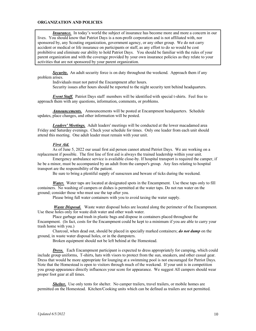#### **ORGANIZATION AND POLICIES**

*Insurance.* In today's world the subject of insurance has become more and more a concern in our lives. You should know that Patriot Days is a non-profit corporation and is not affiliated with, nor sponsored by, any Scouting organization, government agency, or any other group. We do not carry accident or medical or life insurance on participants or staff, as any effort to do so would be cost prohibitive and eliminate our ability to hold Patriot Days. You should be familiar with the rules of your parent organization and with the coverage provided by your own insurance policies as they relate to your activities that are not sponsored by your parent organization.

**Security.** An adult security force is on duty throughout the weekend. Approach them if any problem arises.

Individuals must not patrol the Encampment after hours.

Security issues after hours should be reported to the night security tent behind headquarters.

*Event Staff.* Patriot Days staff members will be identified with special t-shirts. Feel free to approach them with any questions, information, comments, or problems.

*Announcements.* Announcements will be posted at Encampment headquarters. Schedule updates, place changes, and other information will be posted.

*Leaders' Meetings.* Adult leaders' meetings will be conducted at the lower macadamed area Friday and Saturday evenings. Check your schedule for times. Only one leader from each unit should attend this meeting. One adult leader must remain with your unit.

#### *First Aid.*

As of June 5, 2022 our usual first aid person cannot attend Patriot Days. We are working on a replacement if possible. The first line of first aid is always the trained leadership within your unit.

Emergency ambulance service is available close-by. If hospital transport is required the camper, if he be a minor, must be accompanied by an adult from the camper's group. Any fees relating to hospital transport are the responsibility of the patient.

Be sure to bring a plentiful supply of sunscreen and beware of ticks during the weekend.

*Water.* Water taps are located at designated spots in the Encampment. Use these taps only to fill containers. No washing of campers or dishes is permitted at the water taps. Do not run water on the ground; consider those who must use the tap after you.

Please bring full water containers with you to avoid taxing the water supply.

*Waste Disposal.* Waste water disposal holes are located along the perimeter of the Encampment. Use these holes only for waste dish water and other wash water.

Place garbage and trash in plastic bags and dispose in containers placed throughout the Encampment. (In fact, costs for the Encampment could be kept to a minimum if you are able to carry your trash home with you.)

Charcoal, when dead out, should be placed in specially marked containers; *do not dump* on the ground, in waste water disposal holes, or in the dumpsters.

Broken equipment should not be left behind at the Homestead.

*Dress.* Each Encampment participant is expected to dress appropriately for camping, which could include group uniforms, T-shirts, hats with visors to protect from the sun, sneakers, and other casual gear. Dress that would be more appropriate for lounging at a swimming pool is not encouraged for Patriot Days. Note that the Homestead is open to visitors through much of the weekend. If your unit is in competition you group appearance directly influences your score for appearance. We suggest All campers should wear proper foot gear at all times.

*Shelter.* Use only tents for shelter. No camper trailers, travel trailers, or mobile homes are permitted on the Homestead. Kitchen/Cooking units which can be defined as trailers are not permitted.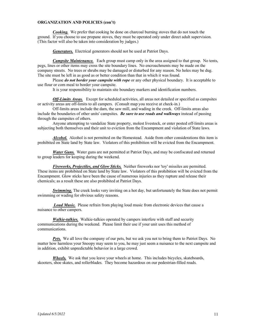#### **ORGANIZATION AND POLICIES (con't)**

*Cooking.* We prefer that cooking be done on charcoal burning stoves that do not touch the ground. If you choose to use propane stoves, they must be operated only under direct adult supervision. (This factor will also be taken into consideration by judges.)

*Generators.* Electrical generators should not be used at Patriot Days.

*Campsite Maintenance.* Each group must camp only in the area assigned to that group. No tents, pegs, lines or other items may cross the site boundary lines. No encroachments may be made on the company streets. No trees or shrubs may be damaged or disturbed for any reason. No holes may be dug. The site must be left in as good as or better condition than that in which it was found.

Please *do not border your campsite with rope* or any other physical boundary. It is acceptable to use flour or corn meal to border your campsite.

It is your responsibility to maintain site boundary markers and identification numbers.

*Off-Limits Areas.* Except for scheduled activities, all areas not detailed or specified as campsites or activity areas are off-limits to all campers. (Consult map you receive at check-in.)

Off-limits areas include the dam, the saw mill, and wading in the creek. Off-limits areas also include the boundaries of other units' campsites. *Be sure to use roads and walkways* instead of passing through the campsites of others.

Anyone attempting to vandalize State property, molest livestock, or enter posted off-limits areas is subjecting both themselves and their unit to eviction from the Encampment and violation of State laws.

*Alcohol.* Alcohol is not permitted on the Homestead. Aside from other considerations this item is prohibited on State land by State law. Violators of this prohibition will be evicted from the Encampment.

*Water Guns.* Water guns are not permitted at Patriot Days, and may be confiscated and returned to group leaders for keeping during the weekend.

*Fireworks, Projectiles, and Glow Sticks.* Neither fireworks nor 'toy' missiles are permitted. These items are prohibited on State land by State law. Violators of this prohibition will be evicted from the Encampment. Glow sticks have been the cause of numerous injuries as they rupture and release their chemicals; as a result these are also prohibited at Patriot Days.

**Swimming.** The creek looks very inviting on a hot day, but unfortunately the State does not permit swimming or wading for obvious safety reasons.

*Loud Music.* Please refrain from playing loud music from electronic devices that cause a nuisance to other campers.

*Walkie-talkies.* Walkie-talkies operated by campers interfere with staff and security communications during the weekend. Please limit their use if your unit uses this method of communications.

*Pets.* We all love the company of our pets, but we ask you not to bring them to Patriot Days. No matter how harmless your Snoopy may seem to you, he may just seem a nuisance to the next campsite and in addition, exhibit unpredictable behavior in a large crowd.

*Wheels.* We ask that you leave your wheels at home. This includes bicycles, skateboards, skooters, shoe skates, and rollerblades. They become hazardous on our pedestrian-filled roads.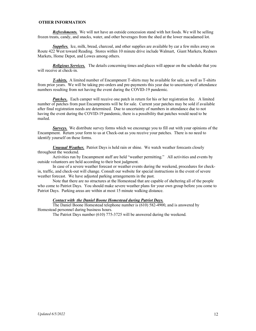#### **OTHER INFORMATION**

*Refreshments.* We will not have an outside concession stand with hot foods. We will be selling frozen treats, candy, and snacks, water, and other beverages from the shed at the lower macadamed lot.

*Supplies.* Ice, milk, bread, charcoal, and other supplies are available by car a few miles away on Route 422 West toward Reading. Stores within 10 minute drive include Walmart, Giant Markets, Redners Markets, Home Depot, and Lowes among others.

*Religious Services.* The details concerning times and places will appear on the schedule that you will receive at check-in.

*T-shirts.* A limited number of Encampment T-shirts may be available for sale, as well as T-shirts from prior years. We will be taking pre-orders and pre-payments this year due to uncertainty of attendance numbers resulting from not having the event during the COVID-19 pandemic.

*Patches.*. Each camper will receive one patch in return for his or her registration fee. A limited number of patches from past Encampments will be for sale. Current year patches may be sold if available after final registration needs are determined. Due to uncertainty of numbers in attendance due to not having the event during the COVID-19 pandemic, there is a possibility that patches would need to be mailed.

*Surveys.* We distribute survey forms which we encourage you to fill out with your opinions of the Encampment. Return your form to us at Check-out as you receive your patches. There is no need to identify yourself on these forms.

*Unusual Weather.* Patriot Days is held rain or shine. We watch weather forecasts closely throughout the weekend.

Activities run by Encampment staff are held "weather permitting." All activities and events by outside volunteers are held according to their best judgment.

In case of a severe weather forecast or weather events during the weekend, procedures for checkin, traffic, and check-out will change. Consult our website for special instructions in the event of severe weather forecast. We have adjusted parking arrangements in the past.

Note that there are no structures at the Homestead that are capable of sheltering all of the people who come to Patriot Days. You should make severe weather plans for your own group before you come to Patriot Days. Parking areas are within at most 15 minute walking distance.

#### *Contact with the Daniel Boone Homestead during Patriot Days.*

The Daniel Boone Homestead telephone number is (610) 582-4900, and is answered by Homestead personnel during business hours.

The Patriot Days number (610) 775-3725 will be answered during the weekend.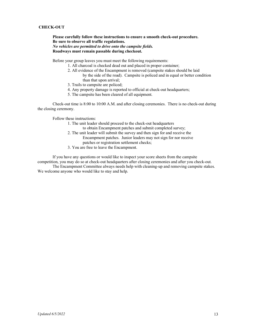#### **CHECK-OUT**

**Please carefully follow these instructions to ensure a smooth check-out procedure. Be sure to observe all traffic regulations.**  *No vehicles are permitted to drive onto the campsite fields.* **Roadways must remain passable during checkout.**

Before your group leaves you must meet the following requirements:

- 1. All charcoal is checked dead out and placed in proper container;
- 2. All evidence of the Encampment is removed (campsite stakes should be laid by the side of the road). Campsite is policed and in equal or better condition than that upon arrival;
- 3. Trails to campsite are policed;
- 4. Any property damage is reported to official at check-out headquarters;
- 5. The campsite has been cleared of all equipment.

Check-out time is 8:00 to 10:00 A.M. and after closing ceremonies. There is no check-out during the closing ceremony.

Follow these instructions:

- 1. The unit leader should proceed to the check-out headquarters
	- to obtain Encampment patches and submit completed survey;
- 2. The unit leader will submit the survey and then sign for and receive the Encampment patches. Junior leaders may not sign for nor receive patches or registration settlement checks;
- 3. You are free to leave the Encampment.

If you have any questions or would like to inspect your score sheets from the campsite competition, you may do so at check-out headquarters after closing ceremonies and after you check-out.

The Encampment Committee always needs help with cleaning-up and removing campsite stakes. We welcome anyone who would like to stay and help.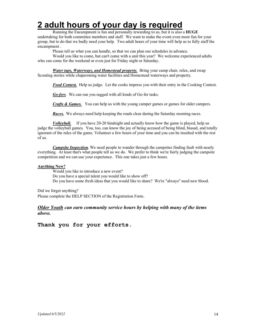# **2 adult hours of your day is required**

Running the Encampment is fun and personally rewarding to us, but it is also a **HUGE**

undertaking for both committee members and staff. We want to make the event even more fun for your group, but to do that we badly need your help. Two adult hours of your time will help us to fully staff the encampment .

Please tell us what you can handle, so that we can plan our schedules in advance.

Would you like to come, but can't come with a unit this year? We welcome experienced adults who can come for the weekend or even just for Friday night or Saturday.

*Water taps, Waterways, and Homestead property.* Bring your camp chair, relax, and swap Scouting stories while chaperoning water facilities and Homestead waterways and property.

*Food Contest.* Help us judge. Let the cooks impress you with their entry in the Cooking Contest.

*Go-fers*. We can run you ragged with all kinds of Go-fer tasks.

*Crafts & Games.* You can help us with the young camper games or games for older campers.

*Races.* We always need help keeping the roads clear during the Saturday morning races.

*Volleyball.* If you have 20-20 hindsight and actually know how the game is played, help us judge the volleyball games. You, too, can know the joy of being accused of being blind, biased, and totally ignorant of the rules of the game. Volunteer a few hours of your time and you can be insulted with the rest of us.

*Campsite Inspection.* We need people to wander through the campsites finding fault with nearly everything. At least that's what people tell us we do. We prefer to think we're fairly judging the campsite competition and we can use your experience. This one takes just a few hours.

#### **Anything New?**

Would you like to introduce a new event? Do you have a special talent you would like to show off? Do you have some fresh ideas that you would like to share? We're "always" need new blood.

Did we forget anything?

Please complete the HELP SECTION of the Registration Form.

#### *Older Youth can earn community service hours by helping with many of the items above.*

**Thank you for your efforts.**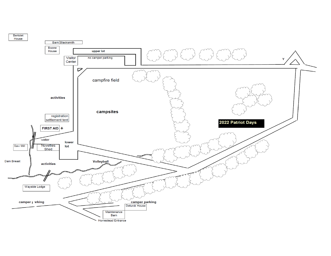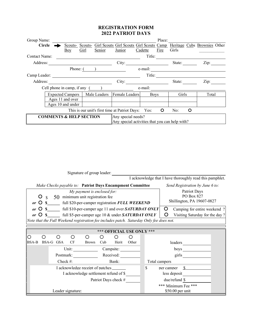### **REGISTRATION FORM 2022 PATRIOT DAYS**

| Group Name:                                                             |                  |                                         |          |                    |                                                |                                                                       |         | Place:      |        |       |      |       |
|-------------------------------------------------------------------------|------------------|-----------------------------------------|----------|--------------------|------------------------------------------------|-----------------------------------------------------------------------|---------|-------------|--------|-------|------|-------|
| <b>Circle</b>                                                           |                  |                                         |          | Scouts-Scouts-     |                                                | Girl Scouts Girl Scouts Girl Scouts Camp Heritage Cubs Brownies Other |         |             |        |       |      |       |
|                                                                         |                  |                                         | Boy      | Girl               | Senior                                         | Junior                                                                | Cadette | Fire        | Girls  |       |      |       |
| Contact Name:                                                           |                  |                                         |          |                    |                                                |                                                                       | Title:  |             |        |       |      |       |
| Address:                                                                |                  |                                         |          |                    |                                                | City:                                                                 |         |             | State: |       | Zip: |       |
|                                                                         |                  |                                         | Phone: ( |                    |                                                |                                                                       | e-mail: |             |        |       |      |       |
| Camp Leader:                                                            |                  |                                         |          |                    |                                                |                                                                       | Title:  |             |        |       |      |       |
| Address:                                                                |                  |                                         |          |                    |                                                | City:                                                                 |         |             | State: |       | Zip: |       |
| Cell phone in camp, if any (                                            |                  |                                         |          |                    |                                                | e-mail:                                                               |         |             |        |       |      |       |
|                                                                         |                  | Male Leaders<br><b>Expected Campers</b> |          |                    |                                                | Female Leaders                                                        |         | <b>Boys</b> |        | Girls |      | Total |
|                                                                         | Ages 11 and over |                                         |          |                    |                                                |                                                                       |         |             |        |       |      |       |
| Ages 10 and under                                                       |                  |                                         |          |                    |                                                |                                                                       |         |             |        |       |      |       |
| This is our unit's first time at Patriot Days:<br>O<br>No:<br>∩<br>Yes: |                  |                                         |          |                    |                                                |                                                                       |         |             |        |       |      |       |
| <b>COMMENTS &amp; HELP SECTION</b>                                      |                  |                                         |          | Any special needs? |                                                |                                                                       |         |             |        |       |      |       |
|                                                                         |                  |                                         |          |                    | Any special activities that you can help with? |                                                                       |         |             |        |       |      |       |

| Signature of group leader:                                                                                                                                                                                                                                                                                                      |                                                          |  |  |  |  |  |  |  |
|---------------------------------------------------------------------------------------------------------------------------------------------------------------------------------------------------------------------------------------------------------------------------------------------------------------------------------|----------------------------------------------------------|--|--|--|--|--|--|--|
| I acknowledge that I have thoroughly read this pamphlet.                                                                                                                                                                                                                                                                        |                                                          |  |  |  |  |  |  |  |
| Make Checks payable to: Patriot Days Encampment Committee                                                                                                                                                                                                                                                                       | Send Registration by June 6 to:                          |  |  |  |  |  |  |  |
| My payment is enclosed for:<br>50 minimum unit registration fee<br>Ő<br>$\mathcal{S}$<br>$or$ $\circ$<br>$\mathbf{s}$<br>full \$20-per-camper registration FULL WEEKEND                                                                                                                                                         | Patriot Days<br>PO Box 827<br>Shillington, PA 19607-0827 |  |  |  |  |  |  |  |
| O<br>\$ full \$10-per-camper age 11 and over SATURDAY ONLY<br>$\circ$<br>Camping for entire weekend?<br>or<br>O<br>full \$5-per-camper age 10 & under SATURDAY ONLY<br>$or$ $\circ$<br>$\mathbf S$<br>Visiting Saturday for the day?<br>Note that the Full Weekend registration fee includes patch. Saturday Only fee does not. |                                                          |  |  |  |  |  |  |  |
|                                                                                                                                                                                                                                                                                                                                 |                                                          |  |  |  |  |  |  |  |
| *** OFFICIAL USE ONLY ***                                                                                                                                                                                                                                                                                                       |                                                          |  |  |  |  |  |  |  |
| O<br><b>BSA-B</b><br>BSA-G GSA<br>CF<br><b>Brown</b><br>Cub                                                                                                                                                                                                                                                                     | Herit<br>Other<br>leaders                                |  |  |  |  |  |  |  |
| Unit:<br>Campsite:                                                                                                                                                                                                                                                                                                              |                                                          |  |  |  |  |  |  |  |
| Postmark:<br>Received:                                                                                                                                                                                                                                                                                                          | girls                                                    |  |  |  |  |  |  |  |
| Check #:<br>Bank:                                                                                                                                                                                                                                                                                                               | Total campers                                            |  |  |  |  |  |  |  |
| I acknowledge receipt of patches                                                                                                                                                                                                                                                                                                | \$<br><sup>\$</sup><br>per camper                        |  |  |  |  |  |  |  |
| I acknowledge settlement refund of \$                                                                                                                                                                                                                                                                                           | less deposit                                             |  |  |  |  |  |  |  |
| Patriot Days check #                                                                                                                                                                                                                                                                                                            | due/refund \$                                            |  |  |  |  |  |  |  |
| Leader signature:                                                                                                                                                                                                                                                                                                               | *** Minimum Fee ***<br>\$50.00 per unit                  |  |  |  |  |  |  |  |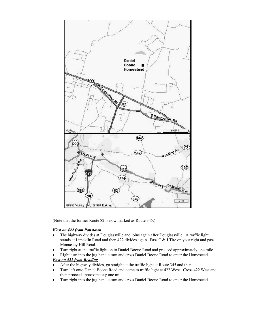

(Note that the former Route 82 is now marked as Route 345.)

#### *West on 422 from Pottstown*

- The highway divides at Douglassville and joins again after Douglassville. A traffic light stands at Limekiln Road and then 422 divides again. Pass C & J Tire on your right and pass Monacacy Hill Road.
- Turn right at the traffic light on to Daniel Boone Road and proceed approximately one mile.
- Right turn into the jug handle turn and cross Daniel Boone Road to enter the Homestead. *East on 422 from Reading*
- After the highway divides, go straight at the traffic light at Route 345 and then
- Turn left onto Daniel Boone Road and come to traffic light at 422 West. Cross 422 West and then proceed approximately one mile.
- Turn right into the jug handle turn and cross Daniel Boone Road to enter the Homestead.